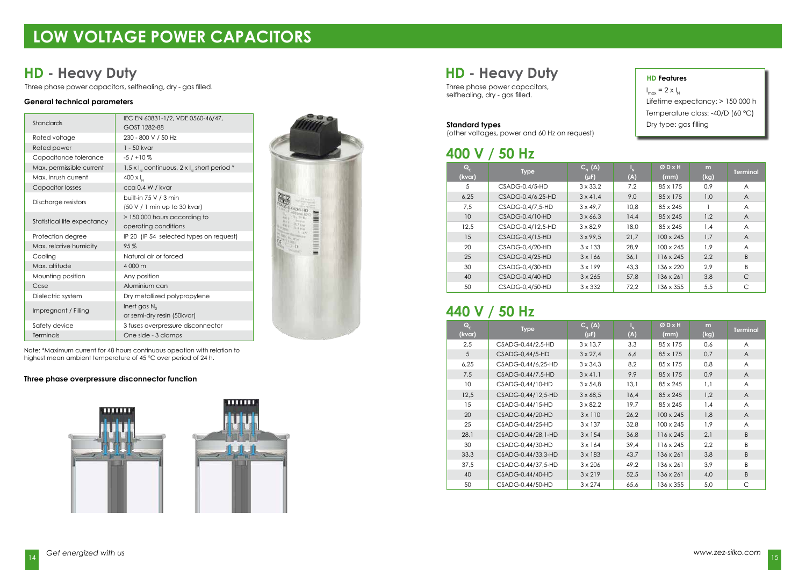## **LOW VOLTAGE POWER CAPACITORS**

#### **General technical parameters**

#### **Three phase overpressure disconnector function**





selfhealing, dry - gas filled.

### **HD - Heavy Duty HD - Heavy Duty**

Three phase power capacitors, selfhealing, dry - gas filled. Three phase power capacitors, and the phase power capacitors,

#### **400 V / 50 Hz**

### **440 V / 50 Hz**

#### **Standard types**

(other voltages, power and 60 Hz on request)

 $I_{\text{max}} = 2 \times I_{N}$ Lifetime expectancy: > 150 000 h Temperature class: -40/D (60 °C) Dry type: gas filling

| Standards                   | IEC EN 60831-1/2, VDE 0560-46/47,<br>GOST 1282-88    |  |  |  |  |
|-----------------------------|------------------------------------------------------|--|--|--|--|
| Rated voltage               | 230 - 800 V / 50 Hz                                  |  |  |  |  |
| Rated power                 | 1 - 50 kvar                                          |  |  |  |  |
| Capacitance tolerance       | $-5/110\%$                                           |  |  |  |  |
| Max. permissible current    | 1,5 x $I_{N}$ continuous, 2 x $I_{N}$ short period * |  |  |  |  |
| Max. inrush current         | $400 \times I_{N}$                                   |  |  |  |  |
| <b>Capacitor losses</b>     | cca 0,4 W / kvar                                     |  |  |  |  |
|                             | built-in 75 V / 3 min                                |  |  |  |  |
| Discharge resistors         | (50 V / 1 min up to 30 kvar)                         |  |  |  |  |
|                             | > 150 000 hours according to                         |  |  |  |  |
| Statistical life expectancy | operating conditions                                 |  |  |  |  |
| Protection degree           | IP 20 (IP 54 selected types on request)              |  |  |  |  |
| Max. relative humidity      | 95%                                                  |  |  |  |  |
| Cooling                     | Natural air or forced                                |  |  |  |  |
| Max. altitude               | 4 000 m                                              |  |  |  |  |
| Mounting position           | Any position                                         |  |  |  |  |
| Case                        | Aluminium can                                        |  |  |  |  |
| Dielectric system           | Dry metallized polypropylene                         |  |  |  |  |
|                             | Inert gas $N_2$                                      |  |  |  |  |
| Impregnant / Filling        | or semi-dry resin (50kvar)                           |  |  |  |  |
| Safety device               | 3 fuses overpressure disconnector                    |  |  |  |  |
| Terminals                   | One side - 3 clamps                                  |  |  |  |  |



#### **HD Features**

| $\mathbf{Q}_\mathrm{c}$<br>(kvar) | <b>Type</b>       | $C_{N}(\Delta)$<br>$(\mu F)$ | ı'<br>(A) | ØDXH<br>(mm)     | m<br>(kg) | <b>Terminal</b> |
|-----------------------------------|-------------------|------------------------------|-----------|------------------|-----------|-----------------|
| 5                                 | $CSADG-0,4/5-HD$  | $3 \times 33,2$              | 7,2       | 85 x 175         | 0,9       | $\overline{A}$  |
| 6,25                              | CSADG-0.4/6.25-HD | $3 \times 41,4$              | 9,0       | 85 x 175         | 1,0       | A               |
| 7,5                               | CSADG-0.4/7.5-HD  | $3 \times 49.7$              | 10,8      | $85 \times 245$  |           | A               |
| 10 <sup>°</sup>                   | $CSADG-0.4/10-HD$ | $3 \times 66,3$              | 14,4      | $85 \times 245$  | 1,2       | A               |
| 12,5                              | CSADG-0.4/12.5-HD | $3 \times 82.9$              | 18.0      | $85 \times 245$  | 1,4       | A               |
| 15                                | CSADG-0.4/15-HD   | $3 \times 99,5$              | 21,7      | $100 \times 245$ | 1,7       | $\overline{A}$  |
| 20                                | CSADG-0,4/20-HD   | $3 \times 133$               | 28,9      | $100 \times 245$ | 1,9       | A               |
| 25                                | $CSADG-0.4/25-HD$ | $3 \times 166$               | 36,1      | $116 \times 245$ | 2,2       | B               |
| 30                                | $CSADG-0.4/30-HD$ | $3 \times 199$               | 43,3      | 136 x 220        | 2,9       | B               |
| 40                                | CSADG-0,4/40-HD   | $3 \times 265$               | 57,8      | $136 \times 261$ | 3,8       | C               |
| 50                                | CSADG-0,4/50-HD   | $3 \times 332$               | 72,2      | 136 x 355        | 5,5       | C               |

Note: \*Maximum current for 48 hours continuous opeation with relation to highest mean ambient temperature of 45 °C over period of 24 h.

| $\mathbf{Q}_{\rm c}$<br>(kvar) | <b>Type</b>        | $C_{N}(\Delta)$<br>$(\mu F)$ | $\mathsf{I}_{\mathsf{N}}$<br>(A) | ØDXH<br>(mm)     | m<br>(kg) | <b>Terminal</b> |
|--------------------------------|--------------------|------------------------------|----------------------------------|------------------|-----------|-----------------|
| 2,5                            | CSADG-0,44/2,5-HD  | $3 \times 13.7$              | 3,3                              | 85 x 175         | 0,6       | A               |
| 5                              | $CSADG-0.44/5-HD$  | $3 \times 27,4$              | 6,6                              | 85 x 175         | 0,7       | A               |
| 6,25                           | CSADG-0,44/6,25-HD | $3 \times 34.3$              | 8,2                              | 85 x 175         | 0,8       | A               |
| 7,5                            | CSADG-0,44/7,5-HD  | $3 \times 41.1$              | 9,9                              | 85 x 175         | 0,9       | A               |
| 10 <sup>°</sup>                | CSADG-0,44/10-HD   | $3 \times 54.8$              | 13,1                             | $85 \times 245$  | 1,1       | A               |
| 12,5                           | CSADG-0,44/12,5-HD | $3 \times 68,5$              | 16,4                             | 85 x 245         | 1,2       | $\overline{A}$  |
| 15                             | CSADG-0.44/15-HD   | $3 \times 82,2$              | 19,7                             | 85 x 245         | 1,4       | A               |
| 20                             | CSADG-0.44/20-HD   | $3 \times 110$               | 26,2                             | $100 \times 245$ | 1,8       | $\overline{A}$  |
| 25                             | CSADG-0,44/25-HD   | $3 \times 137$               | 32,8                             | 100 x 245        | 1,9       | A               |
| 28,1                           | CSADG-0,44/28,1-HD | $3 \times 154$               | 36,8                             | $116 \times 245$ | 2,1       | B               |
| 30                             | CSADG-0,44/30-HD   | $3 \times 164$               | 39,4                             | $116 \times 245$ | 2,2       | B               |
| 33,3                           | CSADG-0,44/33,3-HD | $3 \times 183$               | 43,7                             | 136 x 261        | 3,8       | B               |
| 37,5                           | CSADG-0,44/37,5-HD | $3 \times 206$               | 49,2                             | 136 x 261        | 3,9       | B               |
| 40                             | CSADG-0,44/40-HD   | $3 \times 219$               | 52,5                             | $136 \times 261$ | 4,0       | B               |
| 50                             | CSADG-0.44/50-HD   | $3 \times 274$               | 65,6                             | 136 x 355        | 5,0       | C               |